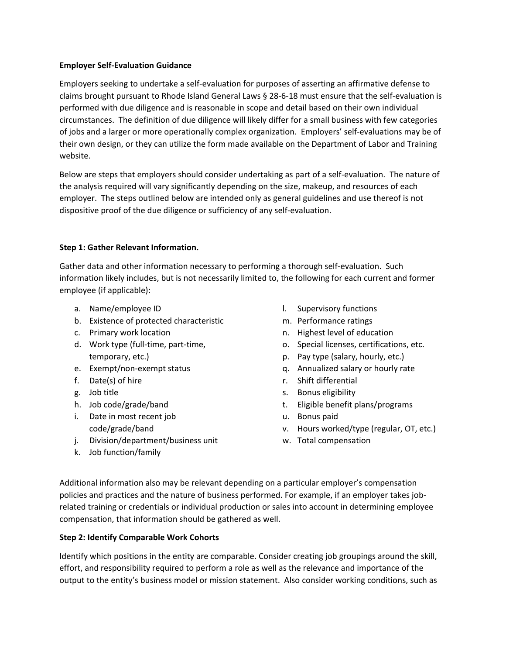#### **Employer Self-Evaluation Guidance**

Employers seeking to undertake a self-evaluation for purposes of asserting an affirmative defense to claims brought pursuant to Rhode Island General Laws § 28-6-18 must ensure that the self-evaluation is performed with due diligence and is reasonable in scope and detail based on their own individual circumstances. The definition of due diligence will likely differ for a small business with few categories of jobs and a larger or more operationally complex organization. Employers' self-evaluations may be of their own design, or they can utilize the form made available on the Department of Labor and Training website.

Below are steps that employers should consider undertaking as part of a self-evaluation. The nature of the analysis required will vary significantly depending on the size, makeup, and resources of each employer. The steps outlined below are intended only as general guidelines and use thereof is not dispositive proof of the due diligence or sufficiency of any self-evaluation.

# **Step 1: Gather Relevant Information.**

Gather data and other information necessary to performing a thorough self-evaluation. Such information likely includes, but is not necessarily limited to, the following for each current and former employee (if applicable):

- a. Name/employee ID
- b. Existence of protected characteristic
- c. Primary work location
- d. Work type (full-time, part-time, temporary, etc.)
- e. Exempt/non-exempt status
- f. Date(s) of hire
- g. Job title
- h. Job code/grade/band
- i. Date in most recent job code/grade/band
- j. Division/department/business unit
- k. Job function/family
- l. Supervisory functions
- m. Performance ratings
- n. Highest level of education
- o. Special licenses, certifications, etc.
- p. Pay type (salary, hourly, etc.)
- q. Annualized salary or hourly rate
- r. Shift differential
- s. Bonus eligibility
- t. Eligible benefit plans/programs
- u. Bonus paid
- v. Hours worked/type (regular, OT, etc.)
- w. Total compensation

Additional information also may be relevant depending on a particular employer's compensation policies and practices and the nature of business performed. For example, if an employer takes jobrelated training or credentials or individual production or sales into account in determining employee compensation, that information should be gathered as well.

# **Step 2: Identify Comparable Work Cohorts**

Identify which positions in the entity are comparable. Consider creating job groupings around the skill, effort, and responsibility required to perform a role as well as the relevance and importance of the output to the entity's business model or mission statement. Also consider working conditions, such as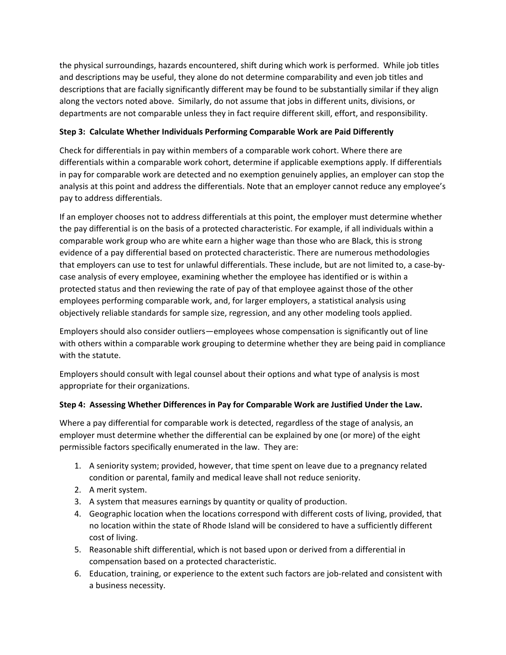the physical surroundings, hazards encountered, shift during which work is performed. While job titles and descriptions may be useful, they alone do not determine comparability and even job titles and descriptions that are facially significantly different may be found to be substantially similar if they align along the vectors noted above. Similarly, do not assume that jobs in different units, divisions, or departments are not comparable unless they in fact require different skill, effort, and responsibility.

# **Step 3: Calculate Whether Individuals Performing Comparable Work are Paid Differently**

Check for differentials in pay within members of a comparable work cohort. Where there are differentials within a comparable work cohort, determine if applicable exemptions apply. If differentials in pay for comparable work are detected and no exemption genuinely applies, an employer can stop the analysis at this point and address the differentials. Note that an employer cannot reduce any employee's pay to address differentials.

If an employer chooses not to address differentials at this point, the employer must determine whether the pay differential is on the basis of a protected characteristic. For example, if all individuals within a comparable work group who are white earn a higher wage than those who are Black, this is strong evidence of a pay differential based on protected characteristic. There are numerous methodologies that employers can use to test for unlawful differentials. These include, but are not limited to, a case-bycase analysis of every employee, examining whether the employee has identified or is within a protected status and then reviewing the rate of pay of that employee against those of the other employees performing comparable work, and, for larger employers, a statistical analysis using objectively reliable standards for sample size, regression, and any other modeling tools applied.

Employers should also consider outliers—employees whose compensation is significantly out of line with others within a comparable work grouping to determine whether they are being paid in compliance with the statute.

Employers should consult with legal counsel about their options and what type of analysis is most appropriate for their organizations.

# **Step 4: Assessing Whether Differences in Pay for Comparable Work are Justified Under the Law.**

Where a pay differential for comparable work is detected, regardless of the stage of analysis, an employer must determine whether the differential can be explained by one (or more) of the eight permissible factors specifically enumerated in the law. They are:

- 1. A seniority system; provided, however, that time spent on leave due to a pregnancy related condition or parental, family and medical leave shall not reduce seniority.
- 2. A merit system.
- 3. A system that measures earnings by quantity or quality of production.
- 4. Geographic location when the locations correspond with different costs of living, provided, that no location within the state of Rhode Island will be considered to have a sufficiently different cost of living.
- 5. Reasonable shift differential, which is not based upon or derived from a differential in compensation based on a protected characteristic.
- 6. Education, training, or experience to the extent such factors are job-related and consistent with a business necessity.